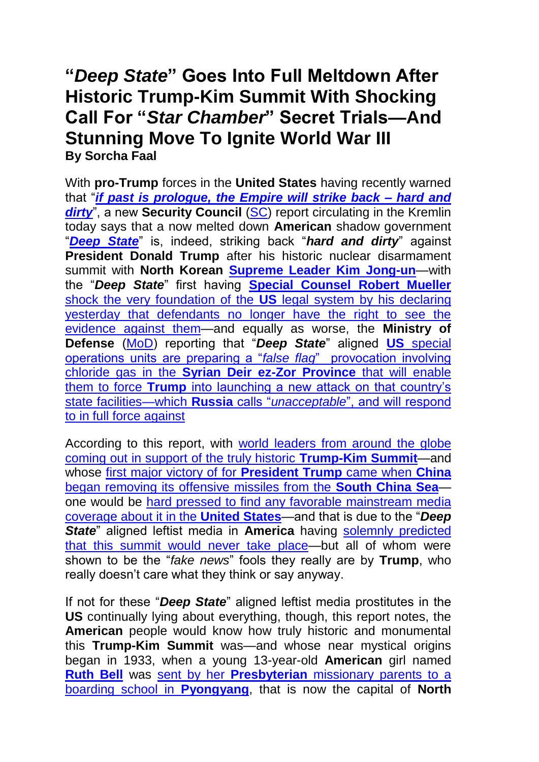## **"***Deep State***" Goes Into Full Meltdown After Historic Trump-Kim Summit With Shocking Call For "***Star Chamber***" Secret Trials—And Stunning Move To Ignite World War III By Sorcha Faal**

With **pro-Trump** forces in the **United States** having recently warned that "*[if past is prologue, the Empire will strike back –](https://www.zerohedge.com/news/2018-06-09/when-where-and-how-will-empire-strike-back) hard and [dirty](https://www.zerohedge.com/news/2018-06-09/when-where-and-how-will-empire-strike-back)*, a new Security Council [\(SC\)](http://en.kremlin.ru/structure/security-council) report circulating in the Kremlin today says that a now melted down **American** shadow government "*[Deep State](https://theintercept.com/2017/01/11/the-deep-state-goes-to-war-with-president-elect-using-unverified-claims-as-dems-cheer/)*" is, indeed, striking back "*hard and dirty*" against **President Donald Trump** after his historic nuclear disarmament summit with **North Korean [Supreme Leader Kim Jong-un](https://en.wikipedia.org/wiki/Kim_Jong-un)**—with the "*Deep State*" first having **[Special Counsel Robert Mueller](https://lawandcrime.com/opinion/mueller-fearmongers-about-election-interference-to-try-to-hide-evidence-from-defendants-in-russian-trolls-case/)** [shock the very foundation of the](https://lawandcrime.com/opinion/mueller-fearmongers-about-election-interference-to-try-to-hide-evidence-from-defendants-in-russian-trolls-case/) **US** legal system by his declaring [yesterday that defendants no longer have the right to see the](https://lawandcrime.com/opinion/mueller-fearmongers-about-election-interference-to-try-to-hide-evidence-from-defendants-in-russian-trolls-case/)  [evidence against them—](https://lawandcrime.com/opinion/mueller-fearmongers-about-election-interference-to-try-to-hide-evidence-from-defendants-in-russian-trolls-case/)and equally as worse, the **Ministry of Defense** [\(MoD\)](http://eng.mil.ru/) reporting that "*Deep State*" aligned **US** [special](http://tass.com/defense/1009105)  [operations units are preparing a "](http://tass.com/defense/1009105)*false flag*" provocation involving chloride gas in the **[Syrian Deir ez-Zor Province](http://tass.com/defense/1009105)** that will enable them to force **Trump** [into launching a new attack on that country's](http://tass.com/defense/1009105)  [state facilities—which](http://tass.com/defense/1009105) **Russia** calls "*unacceptable*", and will respond [to in full force against](http://tass.com/defense/1009105)

According to this report, with [world leaders from around the globe](https://nypost.com/2018/06/12/world-leaders-come-out-in-support-of-historic-trump-kim-summit/)  [coming out in support of the truly historic](https://nypost.com/2018/06/12/world-leaders-come-out-in-support-of-historic-trump-kim-summit/) **Trump-Kim Summit**—and whose [first major victory of for](https://www.thegatewaypundit.com/2018/06/in-huge-win-for-trump-xi-jinping-pulls-missiles-from-south-china-sea-following-successful-north-korea-summit/) **President Trump** came when **China** [began removing its offensive missiles from the](https://www.thegatewaypundit.com/2018/06/in-huge-win-for-trump-xi-jinping-pulls-missiles-from-south-china-sea-following-successful-north-korea-summit/) **South China Sea** one would be hard pressed to find any favorable mainstream media [coverage about it in the](https://www.youtube.com/watch?v=IEOzlDuCxFE) **United States**—and that is due to the "*Deep State*" aligned leftist media in **America** having [solemnly predicted](http://dailycaller.com/2018/06/12/flashback-media-predicted-summit-wouldnt-happen/)  [that this summit would never take place—](http://dailycaller.com/2018/06/12/flashback-media-predicted-summit-wouldnt-happen/)but all of whom were shown to be the "*fake news*" fools they really are by **Trump**, who really doesn't care what they think or say anyway.

If not for these "*Deep State*" aligned leftist media prostitutes in the **US** continually lying about everything, though, this report notes, the **American** people would know how truly historic and monumental this **Trump-Kim Summit** was—and whose near mystical origins began in 1933, when a young 13-year-old **American** girl named **[Ruth Bell](https://billygraham.org/about/biographies/ruth-bell-graham/)** was sent by her **Presbyterian** [missionary parents to a](https://billygraham.org/about/biographies/ruth-bell-graham/)  [boarding school in](https://billygraham.org/about/biographies/ruth-bell-graham/) **Pyongyang**, that is now the capital of **North**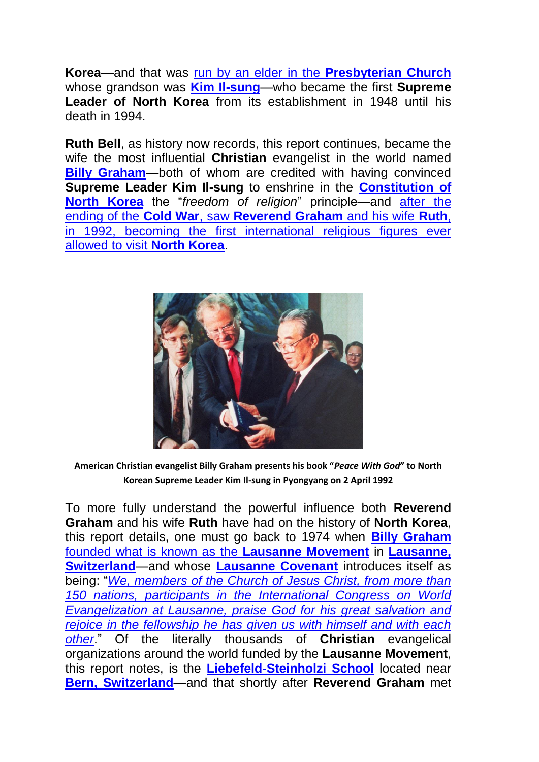**Korea**—and that was [run by an elder in the](https://en.wikipedia.org/wiki/Kim_Il-sung#Family_background) **Presbyterian Church** whose grandson was **[Kim Il-sung](https://en.wikipedia.org/wiki/Kim_Il-sung)**—who became the first **Supreme Leader of North Korea** from its establishment in 1948 until his death in 1994.

**Ruth Bell**, as history now records, this report continues, became the wife the most influential **Christian** evangelist in the world named **[Billy Graham](https://en.wikipedia.org/wiki/Billy_Graham)**—both of whom are credited with having convinced **Supreme Leader Kim Il-sung** to enshrine in the **[Constitution of](https://en.wikipedia.org/wiki/Constitution_of_North_Korea)  [North Korea](https://en.wikipedia.org/wiki/Constitution_of_North_Korea)** the "*freedom of religion*" principle—and [after the](https://www.washingtonpost.com/news/worldviews/wp/2018/02/21/how-billy-graham-took-his-crusade-to-north-korea/?utm_term=.4a4b8f13fa4e)  ending of the **Cold War**, saw **[Reverend Graham](https://www.washingtonpost.com/news/worldviews/wp/2018/02/21/how-billy-graham-took-his-crusade-to-north-korea/?utm_term=.4a4b8f13fa4e)** and his wife **Ruth**, [in 1992, becoming the first international religious figures ever](https://www.washingtonpost.com/news/worldviews/wp/2018/02/21/how-billy-graham-took-his-crusade-to-north-korea/?utm_term=.4a4b8f13fa4e)  [allowed to visit](https://www.washingtonpost.com/news/worldviews/wp/2018/02/21/how-billy-graham-took-his-crusade-to-north-korea/?utm_term=.4a4b8f13fa4e) **North Korea**.



**American Christian evangelist Billy Graham presents his book "***Peace With God***" to North Korean Supreme Leader Kim Il-sung in Pyongyang on 2 April 1992**

To more fully understand the powerful influence both **Reverend Graham** and his wife **Ruth** have had on the history of **North Korea**, this report details, one must go back to 1974 when **[Billy Graham](https://www.lausanne.org/news-releases/billy-graham-tribute)** [founded what is known as the](https://www.lausanne.org/news-releases/billy-graham-tribute) **Lausanne Movement** in **[Lausanne,](https://en.wikipedia.org/wiki/Lausanne)  [Switzerland](https://en.wikipedia.org/wiki/Lausanne)**—and whose **[Lausanne Covenant](https://www.lausanne.org/content/covenant/lausanne-covenant)** introduces itself as being: "*[We, members of the Church of Jesus Christ, from more than](https://www.lausanne.org/content/covenant/lausanne-covenant)  [150 nations, participants in the International Congress on World](https://www.lausanne.org/content/covenant/lausanne-covenant)  [Evangelization at Lausanne, praise God for his great salvation and](https://www.lausanne.org/content/covenant/lausanne-covenant)  [rejoice in the fellowship he has given us with himself and with each](https://www.lausanne.org/content/covenant/lausanne-covenant)  [other](https://www.lausanne.org/content/covenant/lausanne-covenant)*." Of the literally thousands of **Christian** evangelical organizations around the world funded by the **Lausanne Movement**, this report notes, is the **[Liebefeld-Steinholzi School](http://www.schuleliebefeld.ch/)** located near **[Bern, Switzerland](https://en.wikipedia.org/wiki/Bern)**—and that shortly after **Reverend Graham** met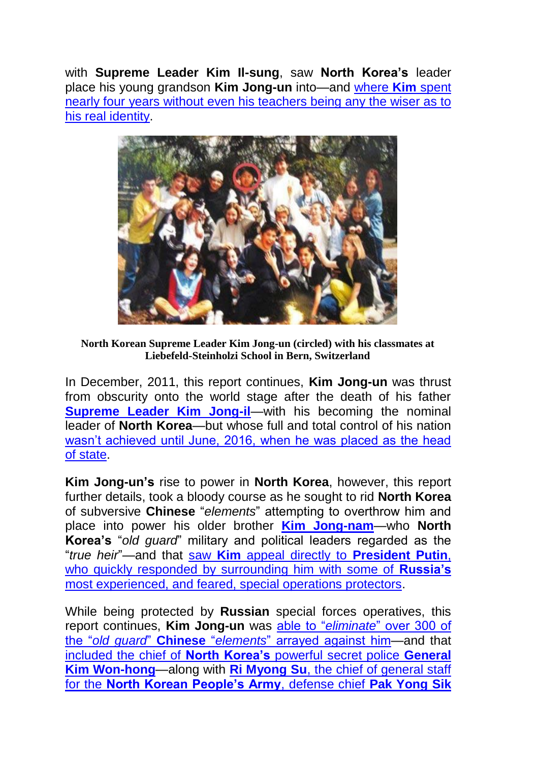with **Supreme Leader Kim Il-sung**, saw **North Korea's** leader place his young grandson **Kim Jong-un** into—and [where](https://www.telegraph.co.uk/news/worldnews/asia/northkorea/8025015/North-Korea-leadership-My-happy-days-at-school-with-North-Koreas-future-leader.html) **Kim** spent nearly four years without [even his teachers being any the wiser as to](https://www.telegraph.co.uk/news/worldnews/asia/northkorea/8025015/North-Korea-leadership-My-happy-days-at-school-with-North-Koreas-future-leader.html)  [his real identity.](https://www.telegraph.co.uk/news/worldnews/asia/northkorea/8025015/North-Korea-leadership-My-happy-days-at-school-with-North-Koreas-future-leader.html)



**North Korean Supreme Leader Kim Jong-un (circled) with his classmates at Liebefeld-Steinholzi School in Bern, Switzerland**

In December, 2011, this report continues, **Kim Jong-un** was thrust from obscurity onto the world stage after the death of his father **[Supreme Leader Kim Jong-il](https://en.wikipedia.org/wiki/Kim_Jong-il)**—with his becoming the nominal leader of **North Korea**—but whose full and total control of his nation [wasn't achieved until June, 2016, when he was placed as the head](https://en.wikipedia.org/wiki/Constitution_of_North_Korea#2016_Constitution)  [of state.](https://en.wikipedia.org/wiki/Constitution_of_North_Korea#2016_Constitution)

**Kim Jong-un's** rise to power in **North Korea**, however, this report further details, took a bloody course as he sought to rid **North Korea** of subversive **Chinese** "*elements*" attempting to overthrow him and place into power his older brother **[Kim Jong-nam](https://en.wikipedia.org/wiki/Kim_Jong-nam)**—who **North Korea's** "*old guard*" military and political leaders regarded as the "*true heir*"—and that saw **Kim** [appeal directly to](http://www.newsweek.com/kim-jong-un-russian-spies-protection-655308) **President Putin**, [who quickly responded by surrounding him with some of](http://www.newsweek.com/kim-jong-un-russian-spies-protection-655308) **Russia's**  [most experienced, and feared, special operations protectors.](http://www.newsweek.com/kim-jong-un-russian-spies-protection-655308)

While being protected by **Russian** special forces operatives, this report continues, **Kim Jong-un** was able to "*eliminate*[" over 300 of](https://www.upi.com/Top_News/World-News/2016/12/28/Kim-Jong-Un-has-purged-executed-more-than-300-people-spy-agency-says/7071482971899/)  the "*old guard*" **Chinese** "*elements*[" arrayed against him—](https://www.upi.com/Top_News/World-News/2016/12/28/Kim-Jong-Un-has-purged-executed-more-than-300-people-spy-agency-says/7071482971899/)and that included the chief of **North Korea's** [powerful secret police](https://www.nytimes.com/2017/02/03/world/asia/north-korea-purge-kim-jong-un-kim-won-hong.html) **General [Kim Won-hong](https://www.nytimes.com/2017/02/03/world/asia/north-korea-purge-kim-jong-un-kim-won-hong.html)**—along with **Ri Myong Su**[, the chief of general staff](https://www.washingtonpost.com/world/north-korea-replaces-three-top-military-leaders-yonhap-news-agency-reports/2018/06/03/086da640-6798-11e8-bf8c-f9ed2e672adf_story.html?utm_term=.d3a5f390aab3)  for the **[North Korean People's Army](https://www.washingtonpost.com/world/north-korea-replaces-three-top-military-leaders-yonhap-news-agency-reports/2018/06/03/086da640-6798-11e8-bf8c-f9ed2e672adf_story.html?utm_term=.d3a5f390aab3)**, defense chief **Pak Yong Sik**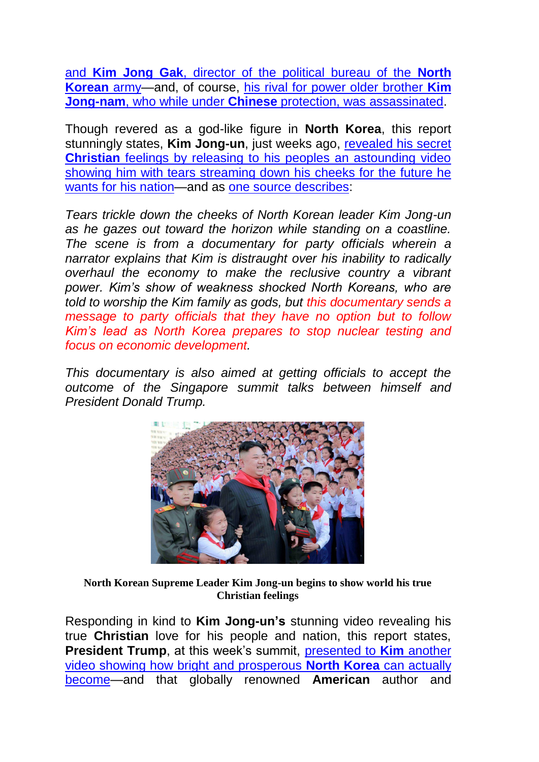and **Kim Jong Gak**[, director of the political bureau of the](https://www.washingtonpost.com/world/north-korea-replaces-three-top-military-leaders-yonhap-news-agency-reports/2018/06/03/086da640-6798-11e8-bf8c-f9ed2e672adf_story.html?utm_term=.d3a5f390aab3) **North [Korean](https://www.washingtonpost.com/world/north-korea-replaces-three-top-military-leaders-yonhap-news-agency-reports/2018/06/03/086da640-6798-11e8-bf8c-f9ed2e672adf_story.html?utm_term=.d3a5f390aab3)** army—and, of course, [his rival for power older brother](http://nationalinterest.org/feature/yes-north-korea-will-give-its-nukes-kim-jong-un-crying-prove-26223) **Kim Jong-nam**, who while under **Chinese** [protection, was assassinated.](http://nationalinterest.org/feature/yes-north-korea-will-give-its-nukes-kim-jong-un-crying-prove-26223)

Though revered as a god-like figure in **North Korea**, this report stunningly states, **Kim Jong-un**, just weeks ago, [revealed his secret](http://nationalinterest.org/feature/yes-north-korea-will-give-its-nukes-kim-jong-un-crying-prove-26223)  **Christian** feelings by releasing to his peoples an astounding video [showing him with tears streaming down his cheeks for the future he](http://nationalinterest.org/feature/yes-north-korea-will-give-its-nukes-kim-jong-un-crying-prove-26223)  [wants for his nation—](http://nationalinterest.org/feature/yes-north-korea-will-give-its-nukes-kim-jong-un-crying-prove-26223)and as [one source describes:](http://nationalinterest.org/feature/yes-north-korea-will-give-its-nukes-kim-jong-un-crying-prove-26223)

*Tears trickle down the cheeks of North Korean leader Kim Jong-un as he gazes out toward the horizon while standing on a coastline. The scene is from a documentary for party officials wherein a narrator explains that Kim is distraught over his inability to radically overhaul the economy to make the reclusive country a vibrant power. Kim's show of weakness shocked North Koreans, who are told to worship the Kim family as gods, but this documentary sends a message to party officials that they have no option but to follow Kim's lead as North Korea prepares to stop nuclear testing and focus on economic development.*

*This documentary is also aimed at getting officials to accept the outcome of the Singapore summit talks between himself and President Donald Trump.*



**North Korean Supreme Leader Kim Jong-un begins to show world his true Christian feelings**

Responding in kind to **Kim Jong-un's** stunning video revealing his true **Christian** love for his people and nation, this report states, **President Trump**, at this week's summit, [presented to](https://www.youtube.com/watch?v=QVVFARIR0Tc) **Kim** another [video showing how bright and prosperous](https://www.youtube.com/watch?v=QVVFARIR0Tc) **North Korea** can actually [become—](https://www.youtube.com/watch?v=QVVFARIR0Tc)and that globally renowned **American** author and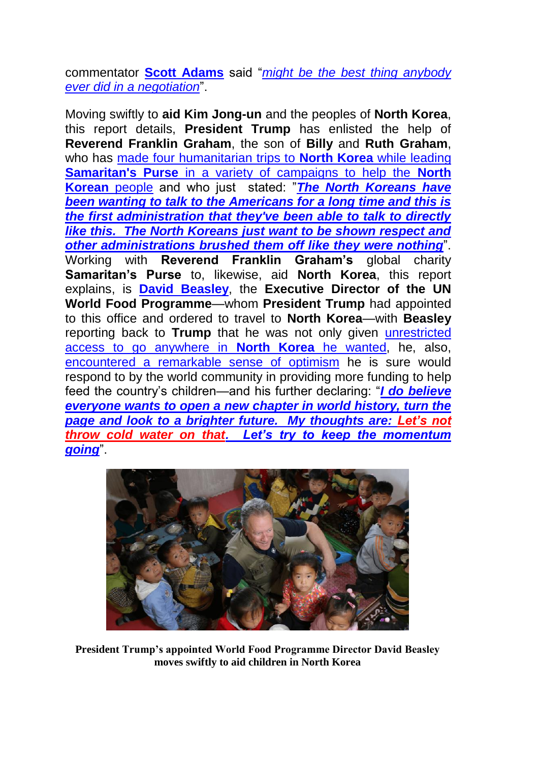commentator **[Scott Adams](https://en.wikipedia.org/wiki/Scott_Adams)** said "*[might be the best thing anybody](https://www.infowars.com/scott-adams-vid-trump-showed-kim-might-be-the-best-thing-that-anybody-ever-did-in-a-negotiation/)  [ever did in a negotiation](https://www.infowars.com/scott-adams-vid-trump-showed-kim-might-be-the-best-thing-that-anybody-ever-did-in-a-negotiation/)*".

Moving swiftly to **aid Kim Jong-un** and the peoples of **North Korea**, this report details, **President Trump** has enlisted the help of **Reverend Franklin Graham**, the son of **Billy** and **Ruth Graham**, who has [made four humanitarian trips to](http://www1.cbn.com/cbnnews/cwn/2018/june/christians-are-not-your-enemies-franklin-grahams-message-to-the-north-korean-government) **North Korea** while leading **Samaritan's Purse** [in a variety of campaigns to help the](http://www1.cbn.com/cbnnews/cwn/2018/june/christians-are-not-your-enemies-franklin-grahams-message-to-the-north-korean-government) **North [Korean](http://www1.cbn.com/cbnnews/cwn/2018/june/christians-are-not-your-enemies-franklin-grahams-message-to-the-north-korean-government)** people and who just stated: "*[The North Koreans have](http://www1.cbn.com/cbnnews/cwn/2018/june/christians-are-not-your-enemies-franklin-grahams-message-to-the-north-korean-government)  [been wanting to talk to the Americans for a long time and this is](http://www1.cbn.com/cbnnews/cwn/2018/june/christians-are-not-your-enemies-franklin-grahams-message-to-the-north-korean-government)  [the first administration that they've been able to talk to directly](http://www1.cbn.com/cbnnews/cwn/2018/june/christians-are-not-your-enemies-franklin-grahams-message-to-the-north-korean-government)  [like this. The North Koreans just want to be shown respect and](http://www1.cbn.com/cbnnews/cwn/2018/june/christians-are-not-your-enemies-franklin-grahams-message-to-the-north-korean-government)  [other administrations brushed them off like they were nothing](http://www1.cbn.com/cbnnews/cwn/2018/june/christians-are-not-your-enemies-franklin-grahams-message-to-the-north-korean-government)*". Working with **Reverend Franklin Graham's** global charity **Samaritan's Purse** to, likewise, aid **North Korea**, this report explains, is **[David Beasley](https://en.wikipedia.org/wiki/David_Beasley)**, the **Executive Director of the UN World Food Programme**—whom **President Trump** had appointed to this office and ordered to travel to **North Korea**—with **Beasley** reporting back to **Trump** that he was not only given [unrestricted](https://www.washingtonpost.com/world/un-world-food-chief-hopes-new-spirit-benefits-children-in-n-korea/2018/05/12/3c22bdde-552a-11e8-a6d4-ca1d035642ce_story.html?utm_term=.2966db6f653e)  [access to go anywhere in](https://www.washingtonpost.com/world/un-world-food-chief-hopes-new-spirit-benefits-children-in-n-korea/2018/05/12/3c22bdde-552a-11e8-a6d4-ca1d035642ce_story.html?utm_term=.2966db6f653e) **North Korea** he wanted, he, also, [encountered a remarkable sense of optimism](https://www.washingtonpost.com/world/un-world-food-chief-hopes-new-spirit-benefits-children-in-n-korea/2018/05/12/3c22bdde-552a-11e8-a6d4-ca1d035642ce_story.html?utm_term=.2966db6f653e) he is sure would respond to by the world community in providing more funding to help feed the country's children—and his further declaring: "*[I do believe](https://www.washingtonpost.com/world/un-world-food-chief-hopes-new-spirit-benefits-children-in-n-korea/2018/05/12/3c22bdde-552a-11e8-a6d4-ca1d035642ce_story.html?utm_term=.2966db6f653e)  [everyone wants to open a new chapter in world history, turn the](https://www.washingtonpost.com/world/un-world-food-chief-hopes-new-spirit-benefits-children-in-n-korea/2018/05/12/3c22bdde-552a-11e8-a6d4-ca1d035642ce_story.html?utm_term=.2966db6f653e)  [page and look to a brighter future. My thoughts are: Let's not](https://www.washingtonpost.com/world/un-world-food-chief-hopes-new-spirit-benefits-children-in-n-korea/2018/05/12/3c22bdde-552a-11e8-a6d4-ca1d035642ce_story.html?utm_term=.2966db6f653e)  [throw cold water on that. Let's try to keep the momentum](https://www.washingtonpost.com/world/un-world-food-chief-hopes-new-spirit-benefits-children-in-n-korea/2018/05/12/3c22bdde-552a-11e8-a6d4-ca1d035642ce_story.html?utm_term=.2966db6f653e)  [going](https://www.washingtonpost.com/world/un-world-food-chief-hopes-new-spirit-benefits-children-in-n-korea/2018/05/12/3c22bdde-552a-11e8-a6d4-ca1d035642ce_story.html?utm_term=.2966db6f653e)*".



**President Trump's appointed World Food Programme Director David Beasley moves swiftly to aid children in North Korea**